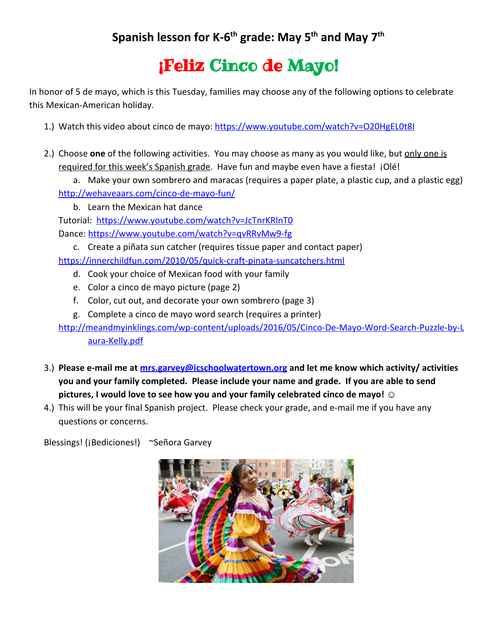## ¡Feliz Cinco de Mayo!

In honor of 5 de mayo, which is this Tuesday, families may choose any of the following options to celebrate this Mexican-American holiday.

- 1.) Watch this video about cinco de mayo: <https://www.youtube.com/watch?v=O20HgEL0t8I>
- 2.) Choose **one** of the following activities. You may choose as many as you would like, but only one is required for this week's Spanish grade. Have fun and maybe even have a fiesta! ¡Olé!
	- a. Make your own sombrero and maracas (requires a paper plate, a plastic cup, and a plastic egg) <http://wehaveaars.com/cinco-de-mayo-fun/>
		- b. Learn the Mexican hat dance

Tutorial: <https://www.youtube.com/watch?v=JcTnrKRlnT0> Dance: <https://www.youtube.com/watch?v=qvRRvMw9-fg>

c. Create a piñata sun catcher (requires tissue paper and contact paper)

<https://innerchildfun.com/2010/05/quick-craft-pinata-suncatchers.html>

- d. Cook your choice of Mexican food with your family
- e. Color a cinco de mayo picture (page 2)
- f. Color, cut out, and decorate your own sombrero (page 3)
- g. Complete a cinco de mayo word search (requires a printer)

[http://meandmyinklings.com/wp-content/uploads/2016/05/Cinco-De-Mayo-Word-Search-Puzzle-by-L](http://meandmyinklings.com/wp-content/uploads/2016/05/Cinco-De-Mayo-Word-Search-Puzzle-by-Laura-Kelly.pdf) [aura-Kelly.pdf](http://meandmyinklings.com/wp-content/uploads/2016/05/Cinco-De-Mayo-Word-Search-Puzzle-by-Laura-Kelly.pdf)

- 3.) **Please e-mail me at [mrs.garvey@icschoolwatertown.org](mailto:mrs.garvey@icschoolwatertown.org) and let me know which activity/ activities you and your family completed. Please include your name and grade. If you are able to send pictures, I would love to see how you and your family celebrated cinco de mayo! ☺**
- 4.) This will be your final Spanish project. Please check your grade, and e-mail me if you have any questions or concerns.

Blessings! (¡Bediciones!) ~Señora Garvey

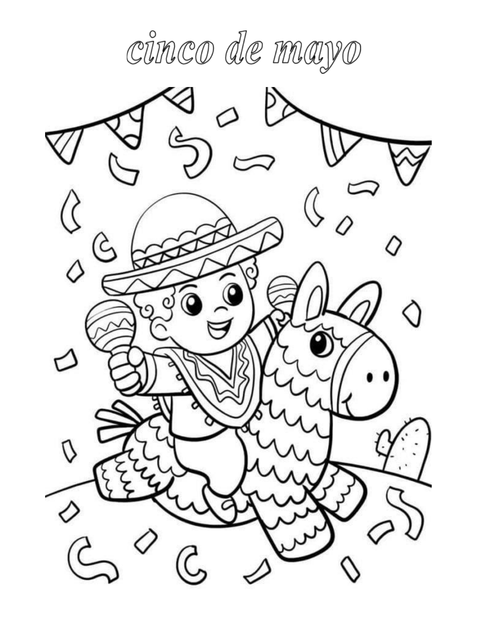